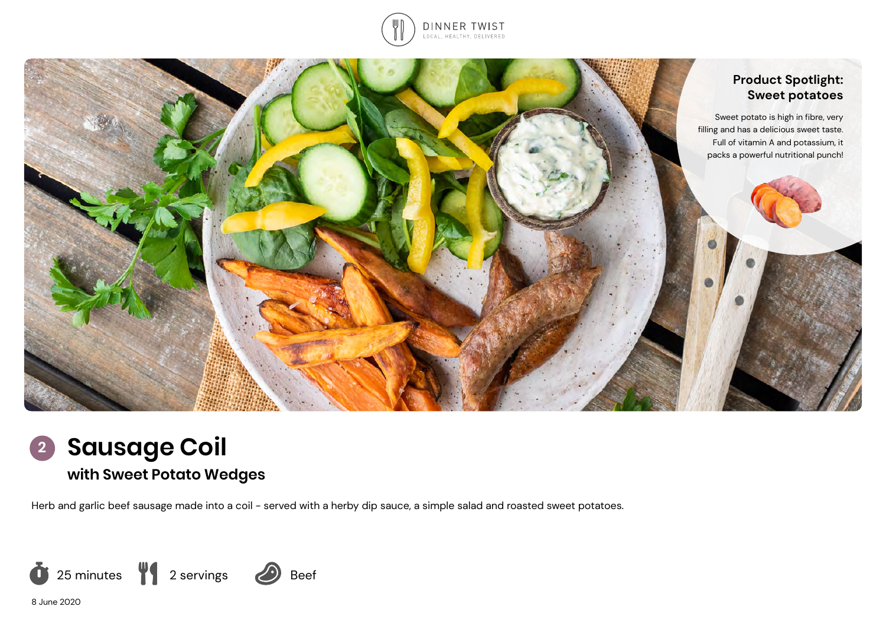





# **with Sweet Potato Wedges**

Herb and garlic beef sausage made into a coil - served with a herby dip sauce, a simple salad and roasted sweet potatoes.



8 June 2020